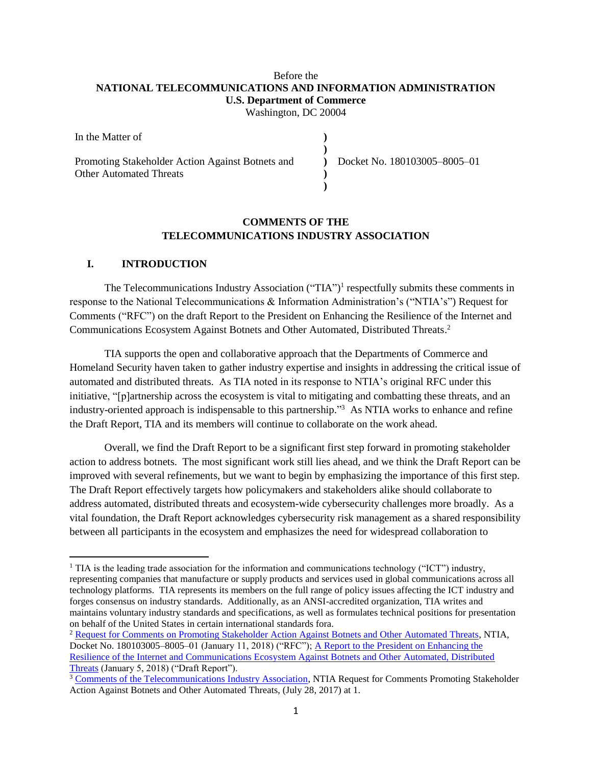## Before the **NATIONAL TELECOMMUNICATIONS AND INFORMATION ADMINISTRATION U.S. Department of Commerce**

Washington, DC 20004

| In the Matter of                                 |                              |  |
|--------------------------------------------------|------------------------------|--|
|                                                  |                              |  |
| Promoting Stakeholder Action Against Botnets and | Docket No. 180103005-8005-01 |  |
| <b>Other Automated Threats</b>                   |                              |  |
|                                                  |                              |  |

## **COMMENTS OF THE TELECOMMUNICATIONS INDUSTRY ASSOCIATION**

#### **I. INTRODUCTION**

 $\overline{\phantom{a}}$ 

The Telecommunications Industry Association ("TIA")<sup>1</sup> respectfully submits these comments in response to the National Telecommunications & Information Administration's ("NTIA's") Request for Comments ("RFC") on the draft Report to the President on Enhancing the Resilience of the Internet and Communications Ecosystem Against Botnets and Other Automated, Distributed Threats. 2

TIA supports the open and collaborative approach that the Departments of Commerce and Homeland Security haven taken to gather industry expertise and insights in addressing the critical issue of automated and distributed threats. As TIA noted in its response to NTIA's original RFC under this initiative, "[p]artnership across the ecosystem is vital to mitigating and combatting these threats, and an industry-oriented approach is indispensable to this partnership." <sup>3</sup> As NTIA works to enhance and refine the Draft Report, TIA and its members will continue to collaborate on the work ahead.

Overall, we find the Draft Report to be a significant first step forward in promoting stakeholder action to address botnets. The most significant work still lies ahead, and we think the Draft Report can be improved with several refinements, but we want to begin by emphasizing the importance of this first step. The Draft Report effectively targets how policymakers and stakeholders alike should collaborate to address automated, distributed threats and ecosystem-wide cybersecurity challenges more broadly. As a vital foundation, the Draft Report acknowledges cybersecurity risk management as a shared responsibility between all participants in the ecosystem and emphasizes the need for widespread collaboration to

<sup>&</sup>lt;sup>1</sup> TIA is the leading trade association for the information and communications technology ("ICT") industry, representing companies that manufacture or supply products and services used in global communications across all technology platforms. TIA represents its members on the full range of policy issues affecting the ICT industry and forges consensus on industry standards. Additionally, as an ANSI-accredited organization, TIA writes and maintains voluntary industry standards and specifications, as well as formulates technical positions for presentation on behalf of the United States in certain international standards fora.

<sup>2</sup> [Request for Comments on Promoting Stakeholder Action Against Botnets and Other Automated Threats,](https://www.ntia.doc.gov/files/ntia/publications/fr-botnet_report_rfc_01112018.pdf) NTIA, Docket No. 180103005–8005–01 (January 11, 2018) ("RFC"); A Report to the President on Enhancing the [Resilience of the Internet and Communications Ecosystem Against Botnets and Other Automated, Distributed](https://www.ntia.doc.gov/files/ntia/publications/eo_13800_botnet_report_for_public_comment.pdf)  [Threats](https://www.ntia.doc.gov/files/ntia/publications/eo_13800_botnet_report_for_public_comment.pdf) (January 5, 2018) ("Draft Report").

<sup>&</sup>lt;sup>3</sup> [Comments of the Telecommunications Industry Association,](https://www.ntia.doc.gov/files/ntia/publications/tia_comments_on_ntia_botnet_reduction_rfc.pdf) NTIA Request for Comments Promoting Stakeholder Action Against Botnets and Other Automated Threats, (July 28, 2017) at 1.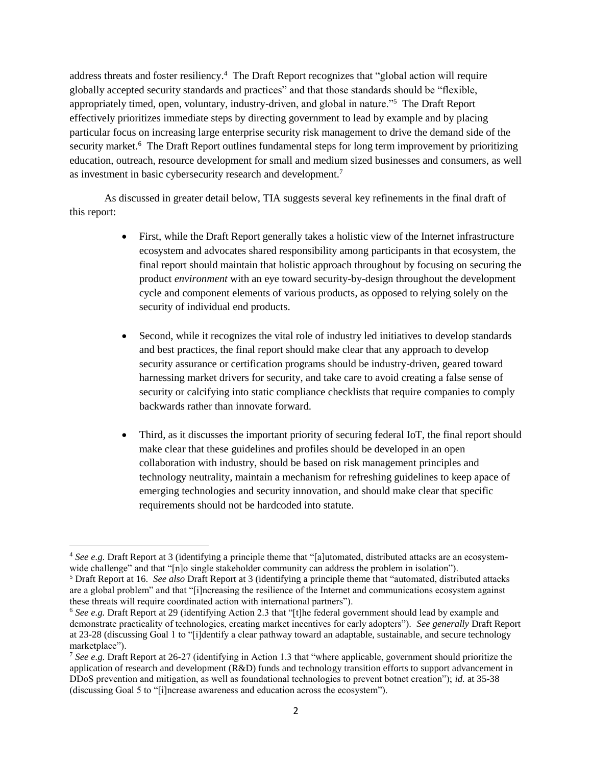address threats and foster resiliency.<sup>4</sup> The Draft Report recognizes that "global action will require globally accepted security standards and practices" and that those standards should be "flexible, appropriately timed, open, voluntary, industry-driven, and global in nature."<sup>5</sup> The Draft Report effectively prioritizes immediate steps by directing government to lead by example and by placing particular focus on increasing large enterprise security risk management to drive the demand side of the security market.<sup>6</sup> The Draft Report outlines fundamental steps for long term improvement by prioritizing education, outreach, resource development for small and medium sized businesses and consumers, as well as investment in basic cybersecurity research and development.<sup>7</sup>

As discussed in greater detail below, TIA suggests several key refinements in the final draft of this report:

- First, while the Draft Report generally takes a holistic view of the Internet infrastructure ecosystem and advocates shared responsibility among participants in that ecosystem, the final report should maintain that holistic approach throughout by focusing on securing the product *environment* with an eye toward security-by-design throughout the development cycle and component elements of various products, as opposed to relying solely on the security of individual end products.
- Second, while it recognizes the vital role of industry led initiatives to develop standards and best practices, the final report should make clear that any approach to develop security assurance or certification programs should be industry-driven, geared toward harnessing market drivers for security, and take care to avoid creating a false sense of security or calcifying into static compliance checklists that require companies to comply backwards rather than innovate forward.
- Third, as it discusses the important priority of securing federal IoT, the final report should make clear that these guidelines and profiles should be developed in an open collaboration with industry, should be based on risk management principles and technology neutrality, maintain a mechanism for refreshing guidelines to keep apace of emerging technologies and security innovation, and should make clear that specific requirements should not be hardcoded into statute.

 $\overline{\phantom{a}}$ <sup>4</sup> See e.g. Draft Report at 3 (identifying a principle theme that "[a]utomated, distributed attacks are an ecosystemwide challenge" and that "[n]o single stakeholder community can address the problem in isolation").

<sup>5</sup> Draft Report at 16. *See also* Draft Report at 3 (identifying a principle theme that "automated, distributed attacks are a global problem" and that "[i]ncreasing the resilience of the Internet and communications ecosystem against these threats will require coordinated action with international partners").

<sup>6</sup> *See e.g.* Draft Report at 29 (identifying Action 2.3 that "[t]he federal government should lead by example and demonstrate practicality of technologies, creating market incentives for early adopters"). *See generally* Draft Report at 23-28 (discussing Goal 1 to "[i]dentify a clear pathway toward an adaptable, sustainable, and secure technology marketplace").

<sup>7</sup> *See e.g.* Draft Report at 26-27 (identifying in Action 1.3 that "where applicable, government should prioritize the application of research and development (R&D) funds and technology transition efforts to support advancement in DDoS prevention and mitigation, as well as foundational technologies to prevent botnet creation"); *id.* at 35-38 (discussing Goal 5 to "[i]ncrease awareness and education across the ecosystem").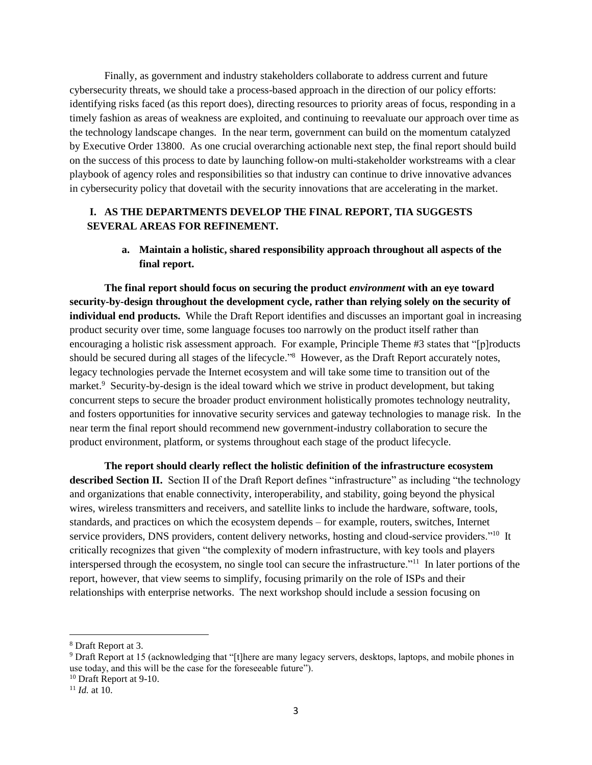Finally, as government and industry stakeholders collaborate to address current and future cybersecurity threats, we should take a process-based approach in the direction of our policy efforts: identifying risks faced (as this report does), directing resources to priority areas of focus, responding in a timely fashion as areas of weakness are exploited, and continuing to reevaluate our approach over time as the technology landscape changes. In the near term, government can build on the momentum catalyzed by Executive Order 13800. As one crucial overarching actionable next step, the final report should build on the success of this process to date by launching follow-on multi-stakeholder workstreams with a clear playbook of agency roles and responsibilities so that industry can continue to drive innovative advances in cybersecurity policy that dovetail with the security innovations that are accelerating in the market.

### **I. AS THE DEPARTMENTS DEVELOP THE FINAL REPORT, TIA SUGGESTS SEVERAL AREAS FOR REFINEMENT.**

**a. Maintain a holistic, shared responsibility approach throughout all aspects of the final report.**

**The final report should focus on securing the product** *environment* **with an eye toward security-by-design throughout the development cycle, rather than relying solely on the security of individual end products.** While the Draft Report identifies and discusses an important goal in increasing product security over time, some language focuses too narrowly on the product itself rather than encouraging a holistic risk assessment approach. For example, Principle Theme #3 states that "[p]roducts should be secured during all stages of the lifecycle."<sup>8</sup> However, as the Draft Report accurately notes, legacy technologies pervade the Internet ecosystem and will take some time to transition out of the market.<sup>9</sup> Security-by-design is the ideal toward which we strive in product development, but taking concurrent steps to secure the broader product environment holistically promotes technology neutrality, and fosters opportunities for innovative security services and gateway technologies to manage risk. In the near term the final report should recommend new government-industry collaboration to secure the product environment, platform, or systems throughout each stage of the product lifecycle.

**The report should clearly reflect the holistic definition of the infrastructure ecosystem described Section II.** Section II of the Draft Report defines "infrastructure" as including "the technology and organizations that enable connectivity, interoperability, and stability, going beyond the physical wires, wireless transmitters and receivers, and satellite links to include the hardware, software, tools, standards, and practices on which the ecosystem depends – for example, routers, switches, Internet service providers, DNS providers, content delivery networks, hosting and cloud-service providers."<sup>10</sup> It critically recognizes that given "the complexity of modern infrastructure, with key tools and players interspersed through the ecosystem, no single tool can secure the infrastructure."<sup>11</sup> In later portions of the report, however, that view seems to simplify, focusing primarily on the role of ISPs and their relationships with enterprise networks. The next workshop should include a session focusing on

l

<sup>8</sup> Draft Report at 3.

<sup>9</sup> Draft Report at 15 (acknowledging that "[t]here are many legacy servers, desktops, laptops, and mobile phones in use today, and this will be the case for the foreseeable future").

<sup>&</sup>lt;sup>10</sup> Draft Report at 9-10.

<sup>11</sup> *Id.* at 10.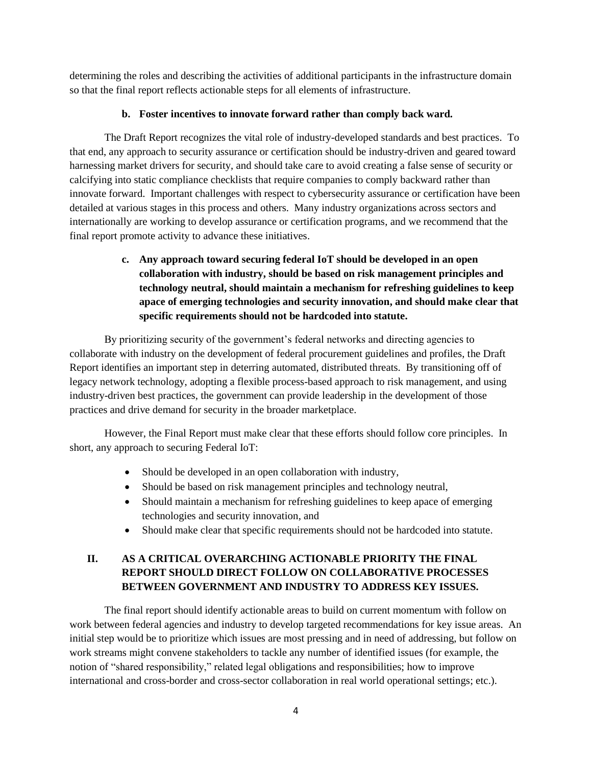determining the roles and describing the activities of additional participants in the infrastructure domain so that the final report reflects actionable steps for all elements of infrastructure.

### **b. Foster incentives to innovate forward rather than comply back ward.**

The Draft Report recognizes the vital role of industry-developed standards and best practices. To that end, any approach to security assurance or certification should be industry-driven and geared toward harnessing market drivers for security, and should take care to avoid creating a false sense of security or calcifying into static compliance checklists that require companies to comply backward rather than innovate forward.Important challenges with respect to cybersecurity assurance or certification have been detailed at various stages in this process and others. Many industry organizations across sectors and internationally are working to develop assurance or certification programs, and we recommend that the final report promote activity to advance these initiatives.

# **c. Any approach toward securing federal IoT should be developed in an open collaboration with industry, should be based on risk management principles and technology neutral, should maintain a mechanism for refreshing guidelines to keep apace of emerging technologies and security innovation, and should make clear that specific requirements should not be hardcoded into statute.**

By prioritizing security of the government's federal networks and directing agencies to collaborate with industry on the development of federal procurement guidelines and profiles, the Draft Report identifies an important step in deterring automated, distributed threats. By transitioning off of legacy network technology, adopting a flexible process-based approach to risk management, and using industry-driven best practices, the government can provide leadership in the development of those practices and drive demand for security in the broader marketplace.

However, the Final Report must make clear that these efforts should follow core principles. In short, any approach to securing Federal IoT:

- Should be developed in an open collaboration with industry,
- Should be based on risk management principles and technology neutral,
- Should maintain a mechanism for refreshing guidelines to keep apace of emerging technologies and security innovation, and
- Should make clear that specific requirements should not be hardcoded into statute.

# **II. AS A CRITICAL OVERARCHING ACTIONABLE PRIORITY THE FINAL REPORT SHOULD DIRECT FOLLOW ON COLLABORATIVE PROCESSES BETWEEN GOVERNMENT AND INDUSTRY TO ADDRESS KEY ISSUES.**

The final report should identify actionable areas to build on current momentum with follow on work between federal agencies and industry to develop targeted recommendations for key issue areas. An initial step would be to prioritize which issues are most pressing and in need of addressing, but follow on work streams might convene stakeholders to tackle any number of identified issues (for example, the notion of "shared responsibility," related legal obligations and responsibilities; how to improve international and cross-border and cross-sector collaboration in real world operational settings; etc.).